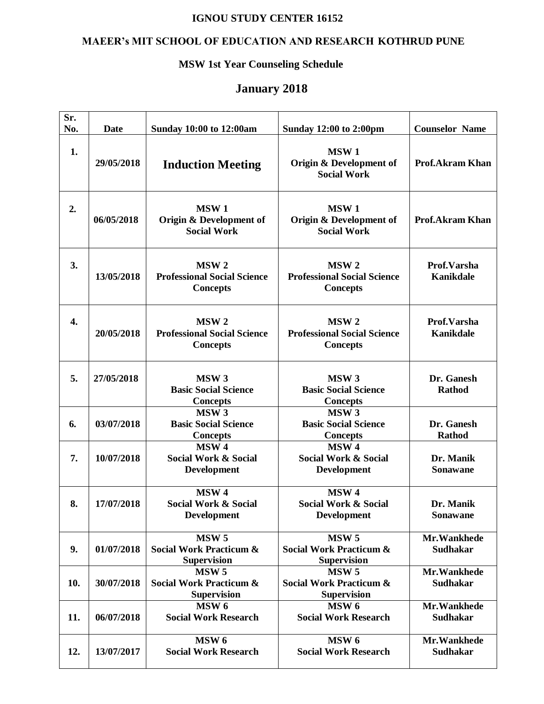#### **IGNOU STUDY CENTER 16152**

# **MAEER's MIT SCHOOL OF EDUCATION AND RESEARCH KOTHRUD PUNE**

### **MSW 1st Year Counseling Schedule**

# **January 2018**

| Sr.<br>No. | <b>Date</b> | <b>Sunday 10:00 to 12:00am</b>                                               | <b>Sunday 12:00 to 2:00pm</b>                                                | <b>Counselor Name</b>           |
|------------|-------------|------------------------------------------------------------------------------|------------------------------------------------------------------------------|---------------------------------|
| 1.         | 29/05/2018  | <b>Induction Meeting</b>                                                     | MSW <sub>1</sub><br>Origin & Development of<br><b>Social Work</b>            | <b>Prof.Akram Khan</b>          |
| 2.         | 06/05/2018  | MSW <sub>1</sub><br>Origin & Development of<br><b>Social Work</b>            | <b>MSW1</b><br>Origin & Development of<br><b>Social Work</b>                 | <b>Prof.Akram Khan</b>          |
| 3.         | 13/05/2018  | MSW <sub>2</sub><br><b>Professional Social Science</b><br><b>Concepts</b>    | MSW <sub>2</sub><br><b>Professional Social Science</b><br><b>Concepts</b>    | Prof.Varsha<br><b>Kanikdale</b> |
| 4.         | 20/05/2018  | MSW <sub>2</sub><br><b>Professional Social Science</b><br><b>Concepts</b>    | MSW <sub>2</sub><br><b>Professional Social Science</b><br><b>Concepts</b>    | Prof.Varsha<br><b>Kanikdale</b> |
| 5.         | 27/05/2018  | MSW <sub>3</sub><br><b>Basic Social Science</b><br><b>Concepts</b>           | MSW <sub>3</sub><br><b>Basic Social Science</b><br><b>Concepts</b>           | Dr. Ganesh<br><b>Rathod</b>     |
| 6.         | 03/07/2018  | MSW <sub>3</sub><br><b>Basic Social Science</b><br><b>Concepts</b>           | MSW <sub>3</sub><br><b>Basic Social Science</b><br><b>Concepts</b>           | Dr. Ganesh<br><b>Rathod</b>     |
| 7.         | 10/07/2018  | MSW <sub>4</sub><br><b>Social Work &amp; Social</b><br><b>Development</b>    | MSW <sub>4</sub><br><b>Social Work &amp; Social</b><br><b>Development</b>    | Dr. Manik<br><b>Sonawane</b>    |
| 8.         | 17/07/2018  | MSW <sub>4</sub><br>Social Work & Social<br><b>Development</b>               | MSW <sub>4</sub><br><b>Social Work &amp; Social</b><br><b>Development</b>    | Dr. Manik<br>Sonawane           |
| 9.         | 01/07/2018  | MSW <sub>5</sub><br><b>Social Work Practicum &amp;</b><br><b>Supervision</b> | MSW <sub>5</sub><br><b>Social Work Practicum &amp;</b><br><b>Supervision</b> | Mr.Wankhede<br><b>Sudhakar</b>  |
| 10.        | 30/07/2018  | MSW <sub>5</sub><br><b>Social Work Practicum &amp;</b><br><b>Supervision</b> | MSW <sub>5</sub><br><b>Social Work Practicum &amp;</b><br><b>Supervision</b> | Mr.Wankhede<br><b>Sudhakar</b>  |
| 11.        | 06/07/2018  | MSW <sub>6</sub><br><b>Social Work Research</b>                              | MSW <sub>6</sub><br><b>Social Work Research</b>                              | Mr.Wankhede<br><b>Sudhakar</b>  |
| 12.        | 13/07/2017  | MSW <sub>6</sub><br><b>Social Work Research</b>                              | MSW <sub>6</sub><br><b>Social Work Research</b>                              | Mr.Wankhede<br><b>Sudhakar</b>  |